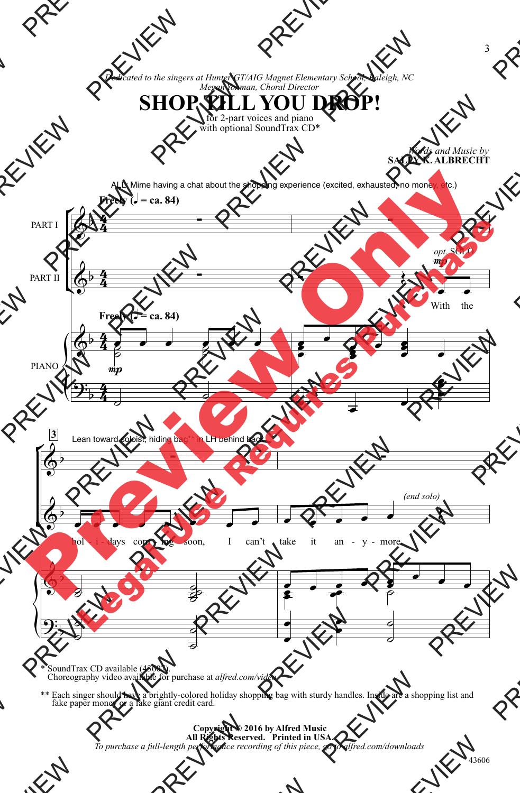*Dedicated to the singers at Hunter GT/AIG Magnet Elementary School, Raleigh, NC Megan Yohman, Choral Director*



with optional SoundTrax CD\*

*Words and Music by* **SALLY K. ALBRECHT**



\* SoundTrax CD available (43607). Choreography video available for purchase at *alfred.com/video*

\*\* Each singer should have a brightly-colored holiday shopping bag with sturdy handles. Inside are a shopping list and fake paper money or a fake giant credit card.

> **Copyright © 2016 by Alfred Music All Rights Reserved. Printed in USA.** *To purchase a full-length performance recording of this piece, go to alfred.com/downloads*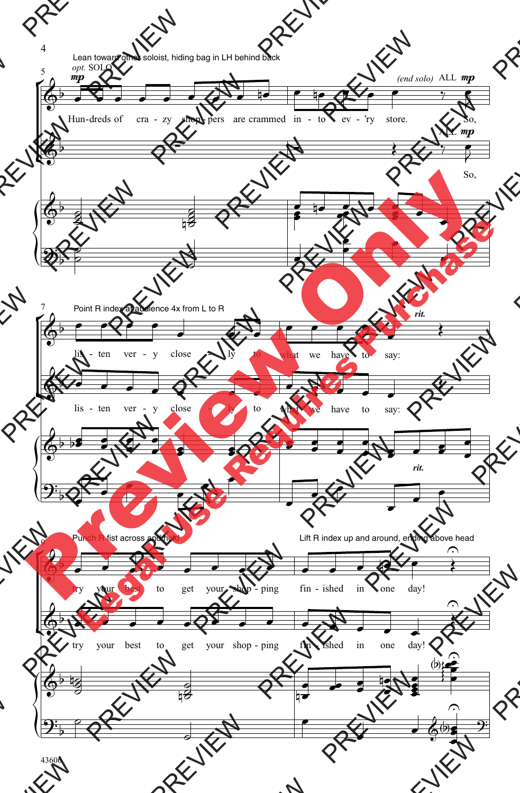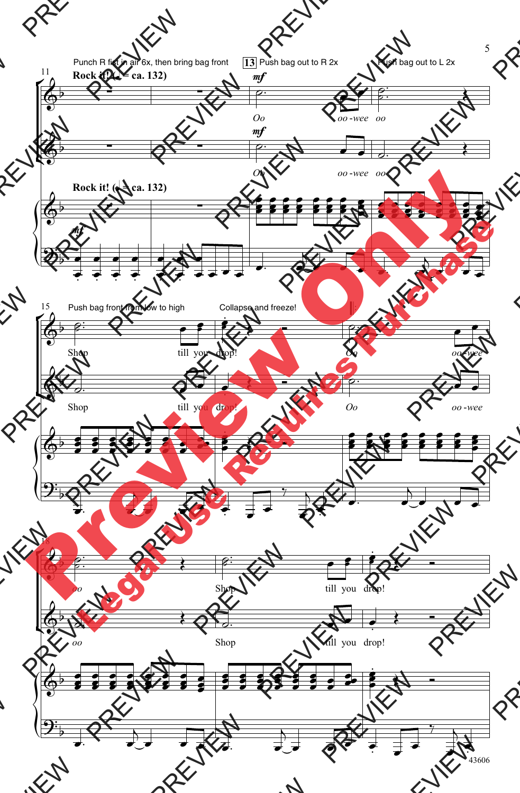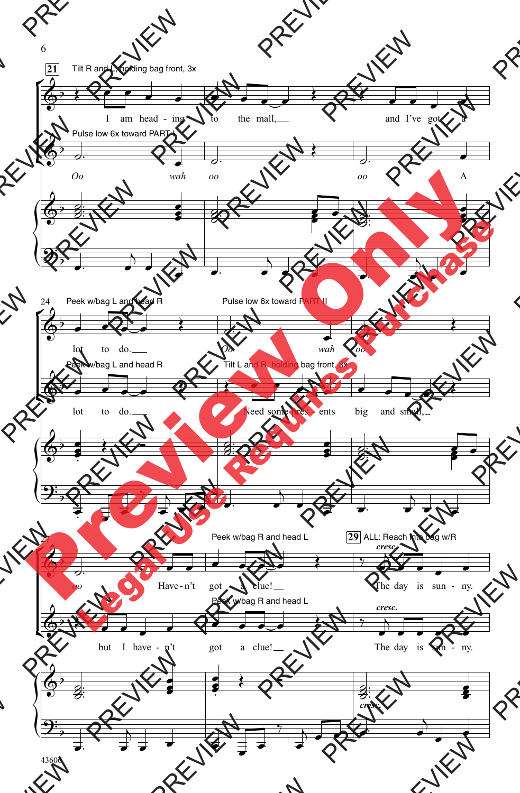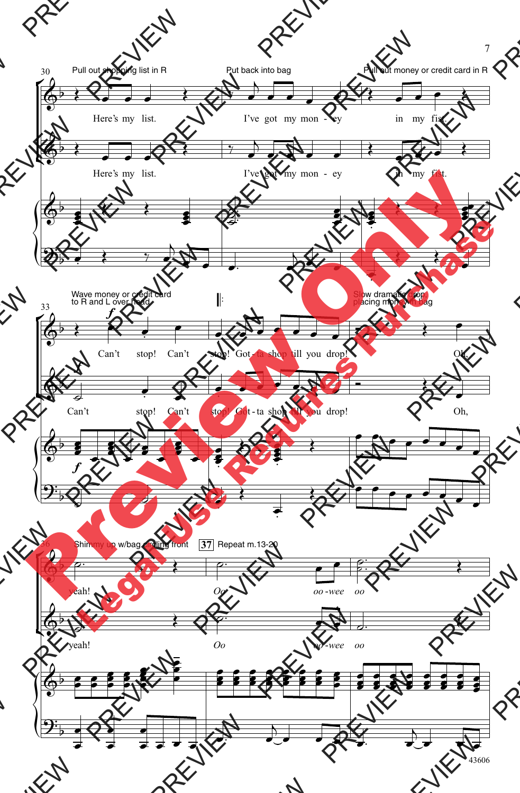

43606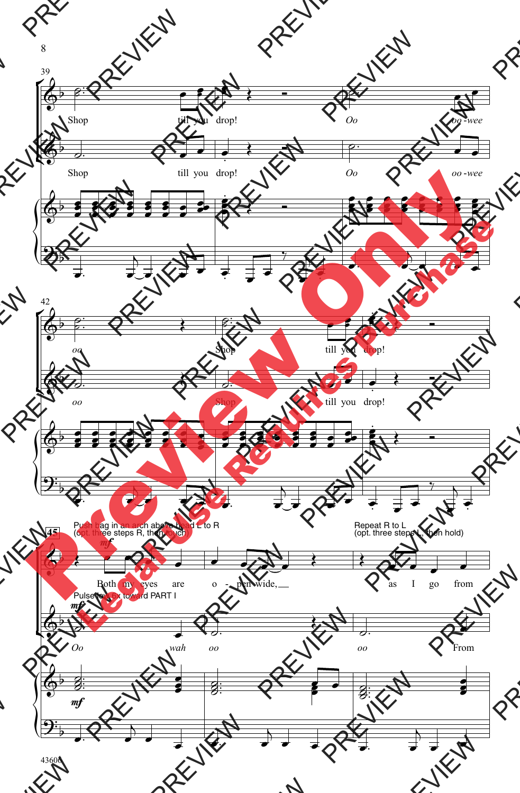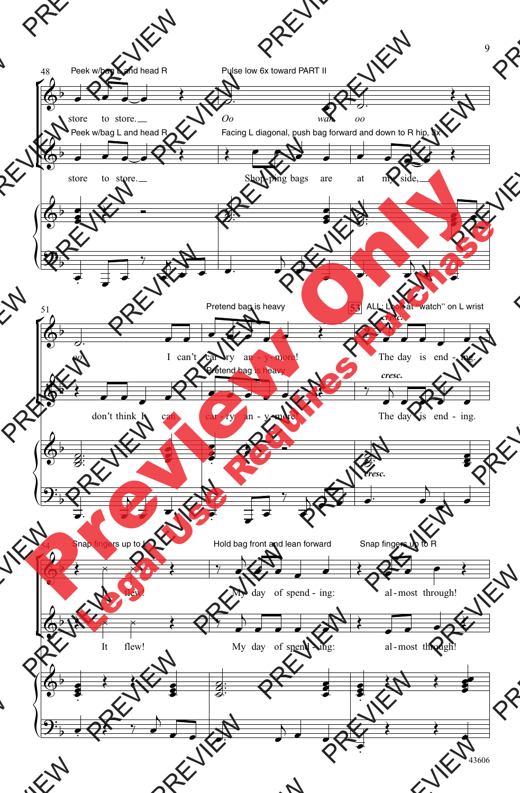

43606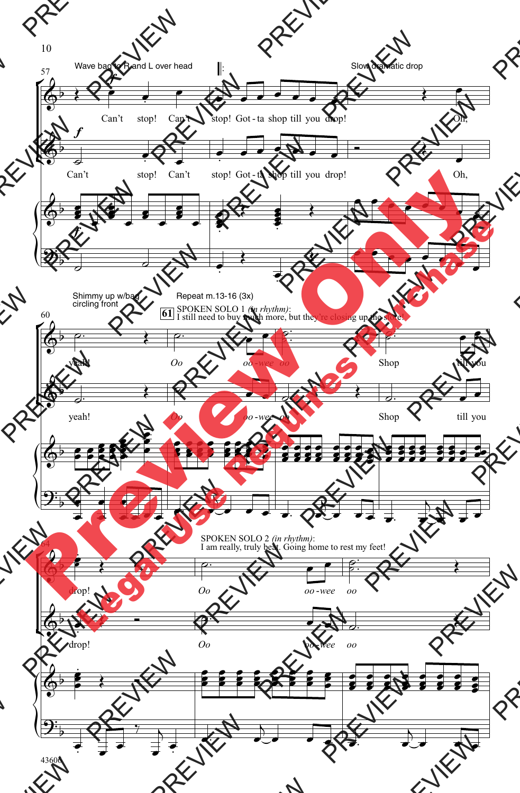



10